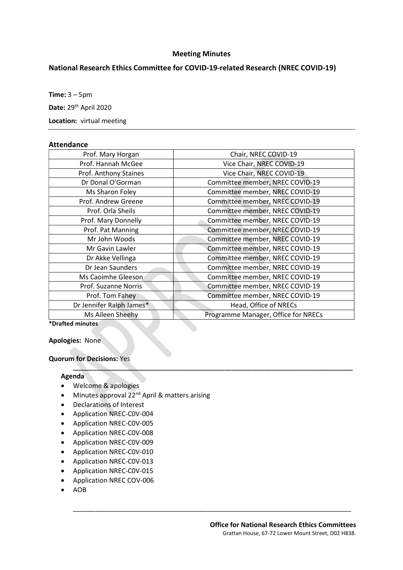### Meeting Minutes

# National Research Ethics Committee for COVID-19-related Research (NREC COVID-19)

Time:  $3 - 5$ pm

Date: 29<sup>th</sup> April 2020

Location: virtual meeting

#### Attendance

| Ms Aileen Sheehy         | Programme Manager, Office for NRECs |
|--------------------------|-------------------------------------|
| Dr Jennifer Ralph James* | Head, Office of NRECs               |
| Prof. Tom Fahey          | Committee member, NREC COVID-19     |
| Prof. Suzanne Norris     | Committee member, NREC COVID-19     |
| Ms Caoimhe Gleeson       | Committee member, NREC COVID-19     |
| Dr Jean Saunders         | Committee member, NREC COVID-19     |
| Dr Akke Vellinga         | Committee member, NREC COVID-19     |
| Mr Gavin Lawler          | Committee member, NREC COVID-19     |
| Mr John Woods            | Committee member, NREC COVID-19     |
| Prof. Pat Manning        | Committee member, NREC COVID-19     |
| Prof. Mary Donnelly      | Committee member, NREC COVID-19     |
| Prof. Orla Sheils        | Committee member, NREC COVID-19     |
| Prof. Andrew Greene      | Committee member, NREC COVID-19     |
| Ms Sharon Foley          | Committee member, NREC COVID-19     |
| Dr Donal O'Gorman        | Committee member, NREC COVID-19     |
| Prof. Anthony Staines    | Vice Chair, NREC COVID-19           |
| Prof. Hannah McGee       | Vice Chair, NREC COVID-19           |
| Prof. Mary Horgan        | Chair, NREC COVID-19                |

 $\mathcal{L} = \{ \mathcal{L} \mid \mathcal{L} \in \mathcal{L} \}$  , where  $\mathcal{L} = \{ \mathcal{L} \mid \mathcal{L} \in \mathcal{L} \}$  , where  $\mathcal{L} = \{ \mathcal{L} \mid \mathcal{L} \in \mathcal{L} \}$ 

\_\_\_\_\_\_\_\_\_\_\_\_\_\_\_\_\_\_\_\_\_\_\_\_\_\_\_\_\_\_\_\_\_\_\_\_\_\_\_\_\_\_\_\_\_\_\_\_\_\_\_\_\_\_\_\_\_\_\_\_\_\_\_\_\_\_\_\_\_\_\_\_\_\_\_

\*Drafted minutes

Apologies: None

#### Quorum for Decisions: Yes

#### Agenda

- Welcome & apologies
- Minutes approval 22<sup>nd</sup> April & matters arising
- Declarations of Interest
- Application NREC-COV-004
- Application NREC-C0V-005
- Application NREC-C0V-008
- Application NREC-COV-009
- Application NREC-C0V-010
- Application NREC-COV-013
- Application NREC-COV-015
- Application NREC COV-006
- AOB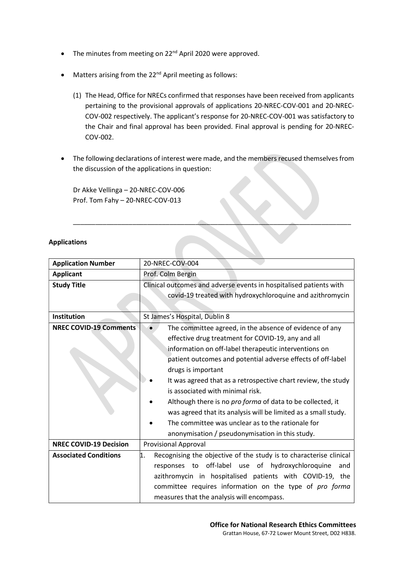- The minutes from meeting on 22<sup>nd</sup> April 2020 were approved.
- Matters arising from the 22<sup>nd</sup> April meeting as follows:
	- (1) The Head, Office for NRECs confirmed that responses have been received from applicants pertaining to the provisional approvals of applications 20-NREC-COV-001 and 20-NREC-COV-002 respectively. The applicant's response for 20-NREC-COV-001 was satisfactory to the Chair and final approval has been provided. Final approval is pending for 20-NREC-COV-002.
- The following declarations of interest were made, and the members recused themselves from the discussion of the applications in question:

\_\_\_\_\_\_\_\_\_\_\_\_\_\_\_\_\_\_\_\_\_\_\_\_\_\_\_\_\_\_\_\_\_\_\_\_\_\_\_\_\_\_\_\_\_\_\_\_\_\_\_\_\_\_\_\_\_\_\_\_\_\_\_\_\_\_\_\_\_\_\_\_\_\_\_

Dr Akke Vellinga – 20-NREC-COV-006 Prof. Tom Fahy – 20-NREC-COV-013

## Applications

| <b>Application Number</b>     | 20-NREC-COV-004                                                          |  |
|-------------------------------|--------------------------------------------------------------------------|--|
| <b>Applicant</b>              | Prof. Colm Bergin                                                        |  |
| <b>Study Title</b>            | Clinical outcomes and adverse events in hospitalised patients with       |  |
|                               | covid-19 treated with hydroxychloroquine and azithromycin                |  |
|                               |                                                                          |  |
| <b>Institution</b>            | St James's Hospital, Dublin 8                                            |  |
| <b>NREC COVID-19 Comments</b> | The committee agreed, in the absence of evidence of any                  |  |
|                               | effective drug treatment for COVID-19, any and all                       |  |
|                               | information on off-label therapeutic interventions on                    |  |
|                               | patient outcomes and potential adverse effects of off-label              |  |
|                               | drugs is important                                                       |  |
|                               | It was agreed that as a retrospective chart review, the study            |  |
|                               | is associated with minimal risk.                                         |  |
|                               | Although there is no pro forma of data to be collected, it               |  |
|                               | was agreed that its analysis will be limited as a small study.           |  |
|                               | The committee was unclear as to the rationale for                        |  |
|                               | anonymisation / pseudonymisation in this study.                          |  |
| <b>NREC COVID-19 Decision</b> | Provisional Approval                                                     |  |
| <b>Associated Conditions</b>  | 1.<br>Recognising the objective of the study is to characterise clinical |  |
|                               | off-label use of hydroxychloroquine<br>responses to<br>and               |  |
|                               | azithromycin in hospitalised patients with COVID-19, the                 |  |
|                               | committee requires information on the type of pro forma                  |  |
|                               | measures that the analysis will encompass.                               |  |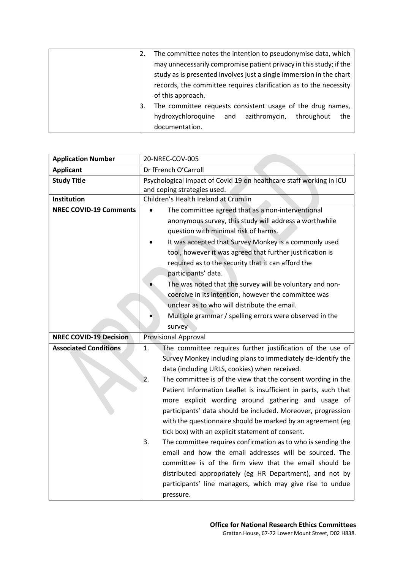| The committee notes the intention to pseudonymise data, which       |
|---------------------------------------------------------------------|
| may unnecessarily compromise patient privacy in this study; if the  |
| study as is presented involves just a single immersion in the chart |
| records, the committee requires clarification as to the necessity   |
| of this approach.                                                   |
| The committee requests consistent usage of the drug names,          |
| hydroxychloroquine<br>and azithromycin,<br>throughout<br>the        |
| documentation.                                                      |

| <b>Application Number</b>     | 20-NREC-COV-005                                                     |  |
|-------------------------------|---------------------------------------------------------------------|--|
| <b>Applicant</b>              | Dr fFrench O'Carroll                                                |  |
| <b>Study Title</b>            | Psychological impact of Covid 19 on healthcare staff working in ICU |  |
|                               | and coping strategies used.                                         |  |
| Institution                   | Children's Health Ireland at Crumlin                                |  |
| <b>NREC COVID-19 Comments</b> | The committee agreed that as a non-interventional                   |  |
|                               | anonymous survey, this study will address a worthwhile              |  |
|                               | question with minimal risk of harms.                                |  |
|                               | It was accepted that Survey Monkey is a commonly used               |  |
|                               | tool, however it was agreed that further justification is           |  |
|                               | required as to the security that it can afford the                  |  |
|                               | participants' data.                                                 |  |
|                               | The was noted that the survey will be voluntary and non-            |  |
|                               | coercive in its intention, however the committee was                |  |
|                               | unclear as to who will distribute the email.                        |  |
|                               | Multiple grammar / spelling errors were observed in the             |  |
|                               | survey                                                              |  |
| <b>NREC COVID-19 Decision</b> | <b>Provisional Approval</b>                                         |  |
|                               |                                                                     |  |
| <b>Associated Conditions</b>  | The committee requires further justification of the use of<br>1.    |  |
|                               | Survey Monkey including plans to immediately de-identify the        |  |
|                               | data (including URLS, cookies) when received.                       |  |
|                               | The committee is of the view that the consent wording in the<br>2.  |  |
|                               | Patient Information Leaflet is insufficient in parts, such that     |  |
|                               | more explicit wording around gathering and usage of                 |  |
|                               | participants' data should be included. Moreover, progression        |  |
|                               | with the questionnaire should be marked by an agreement (eg         |  |
|                               | tick box) with an explicit statement of consent.                    |  |
|                               | The committee requires confirmation as to who is sending the<br>3.  |  |
|                               | email and how the email addresses will be sourced. The              |  |
|                               | committee is of the firm view that the email should be              |  |
|                               | distributed appropriately (eg HR Department), and not by            |  |
|                               | participants' line managers, which may give rise to undue           |  |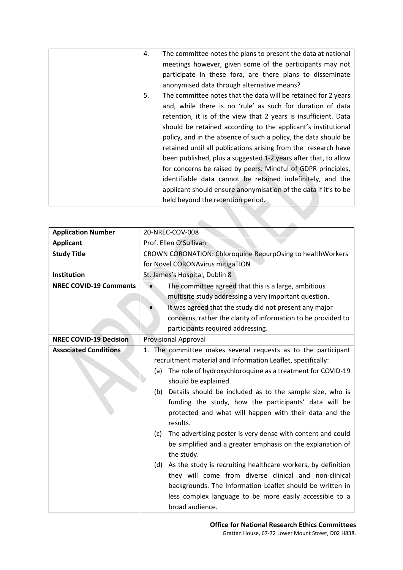| The committee notes the plans to present the data at national<br>4.  |
|----------------------------------------------------------------------|
| meetings however, given some of the participants may not             |
| participate in these fora, are there plans to disseminate            |
| anonymised data through alternative means?                           |
| The committee notes that the data will be retained for 2 years<br>5. |
| and, while there is no 'rule' as such for duration of data           |
| retention, it is of the view that 2 years is insufficient. Data      |
| should be retained according to the applicant's institutional        |
| policy, and in the absence of such a policy, the data should be      |
| retained until all publications arising from the research have       |
| been published, plus a suggested 1-2 years after that, to allow      |
| for concerns be raised by peers. Mindful of GDPR principles,         |
| identifiable data cannot be retained indefinitely, and the           |
| applicant should ensure anonymisation of the data if it's to be      |
| held beyond the retention period.                                    |
|                                                                      |
|                                                                      |

| <b>Application Number</b>     | 20-NREC-COV-008                                                    |
|-------------------------------|--------------------------------------------------------------------|
| <b>Applicant</b>              | Prof. Ellen O'Sullivan                                             |
| <b>Study Title</b>            | CROWN CORONATION: Chloroquine RepurpOsing to healthWorkers         |
|                               | for Novel CORONAvirus mitigaTION                                   |
| Institution                   | St. James's Hospital, Dublin 8                                     |
| <b>NREC COVID-19 Comments</b> | The committee agreed that this is a large, ambitious               |
|                               | multisite study addressing a very important question.              |
|                               | It was agreed that the study did not present any major             |
|                               | concerns, rather the clarity of information to be provided to      |
|                               | participants required addressing.                                  |
| <b>NREC COVID-19 Decision</b> | <b>Provisional Approval</b>                                        |
| <b>Associated Conditions</b>  | 1. The committee makes several requests as to the participant      |
|                               | recruitment material and Information Leaflet, specifically:        |
|                               | The role of hydroxychloroquine as a treatment for COVID-19<br>(a)  |
|                               | should be explained.                                               |
|                               | Details should be included as to the sample size, who is<br>(b)    |
|                               | funding the study, how the participants' data will be              |
|                               | protected and what will happen with their data and the<br>results. |
|                               | The advertising poster is very dense with content and could<br>(c) |
|                               | be simplified and a greater emphasis on the explanation of         |
|                               | the study.                                                         |
|                               | (d) As the study is recruiting healthcare workers, by definition   |
|                               | they will come from diverse clinical and non-clinical              |
|                               | backgrounds. The Information Leaflet should be written in          |
|                               | less complex language to be more easily accessible to a            |
|                               | broad audience.                                                    |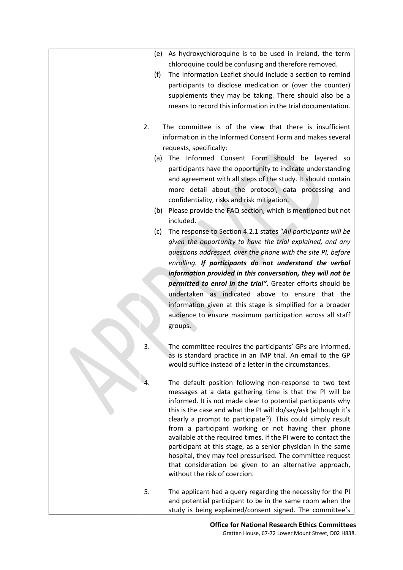| (e) | As hydroxychloroquine is to be used in Ireland, the term                                                                                                                             |
|-----|--------------------------------------------------------------------------------------------------------------------------------------------------------------------------------------|
|     | chloroquine could be confusing and therefore removed.                                                                                                                                |
| (f) | The Information Leaflet should include a section to remind                                                                                                                           |
|     | participants to disclose medication or (over the counter)                                                                                                                            |
|     | supplements they may be taking. There should also be a                                                                                                                               |
|     | means to record this information in the trial documentation.                                                                                                                         |
|     |                                                                                                                                                                                      |
| 2.  | The committee is of the view that there is insufficient<br>information in the Informed Consent Form and makes several                                                                |
|     | requests, specifically:                                                                                                                                                              |
|     | (a) The Informed Consent Form should be layered so                                                                                                                                   |
|     | participants have the opportunity to indicate understanding<br>and agreement with all steps of the study. It should contain<br>more detail about the protocol, data processing and   |
|     | confidentiality, risks and risk mitigation.                                                                                                                                          |
|     | (b) Please provide the FAQ section, which is mentioned but not<br>included.                                                                                                          |
| (c) | The response to Section 4.2.1 states "All participants will be                                                                                                                       |
|     | given the opportunity to have the trial explained, and any                                                                                                                           |
|     | questions addressed, over the phone with the site PI, before                                                                                                                         |
|     | enrolling. If participants do not understand the verbal                                                                                                                              |
|     | information provided in this conversation, they will not be                                                                                                                          |
|     | permitted to enrol in the trial". Greater efforts should be                                                                                                                          |
|     |                                                                                                                                                                                      |
|     | undertaken as indicated above to ensure that the                                                                                                                                     |
|     | information given at this stage is simplified for a broader                                                                                                                          |
|     | audience to ensure maximum participation across all staff                                                                                                                            |
|     | groups.                                                                                                                                                                              |
|     |                                                                                                                                                                                      |
| 3.  | The committee requires the participants' GPs are informed,<br>as is standard practice in an IMP trial. An email to the GP<br>would suffice instead of a letter in the circumstances. |
| 4.  | The default position following non-response to two text<br>messages at a data gathering time is that the PI will be                                                                  |
|     | informed. It is not made clear to potential participants why<br>this is the case and what the PI will do/say/ask (although it's                                                      |
|     | clearly a prompt to participate?). This could simply result                                                                                                                          |
|     | from a participant working or not having their phone                                                                                                                                 |
|     | available at the required times. If the PI were to contact the                                                                                                                       |
|     | participant at this stage, as a senior physician in the same                                                                                                                         |
|     | hospital, they may feel pressurised. The committee request                                                                                                                           |
|     | that consideration be given to an alternative approach,                                                                                                                              |
|     | without the risk of coercion.                                                                                                                                                        |
|     |                                                                                                                                                                                      |
| 5.  | The applicant had a query regarding the necessity for the PI                                                                                                                         |
|     | and potential participant to be in the same room when the<br>study is being explained/consent signed. The committee's                                                                |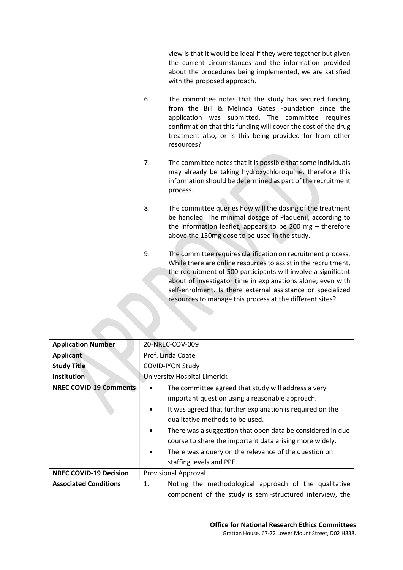|    | view is that it would be ideal if they were together but given<br>the current circumstances and the information provided<br>about the procedures being implemented, we are satisfied<br>with the proposed approach.                                                                                                                                                                        |
|----|--------------------------------------------------------------------------------------------------------------------------------------------------------------------------------------------------------------------------------------------------------------------------------------------------------------------------------------------------------------------------------------------|
| 6. | The committee notes that the study has secured funding<br>from the Bill & Melinda Gates Foundation since the<br>application was submitted. The committee<br>requires<br>confirmation that this funding will cover the cost of the drug<br>treatment also, or is this being provided for from other<br>resources?                                                                           |
| 7. | The committee notes that it is possible that some individuals<br>may already be taking hydroxychloroquine, therefore this<br>information should be determined as part of the recruitment<br>process.                                                                                                                                                                                       |
| 8. | The committee queries how will the dosing of the treatment<br>be handled. The minimal dosage of Plaquenil, according to<br>the information leaflet, appears to be 200 mg $-$ therefore<br>above the 150mg dose to be used in the study.                                                                                                                                                    |
| 9. | The committee requires clarification on recruitment process.<br>While there are online resources to assist in the recruitment,<br>the recruitment of 500 participants will involve a significant<br>about of investigator time in explanations alone; even with<br>self-enrolment. Is there external assistance or specialized<br>resources to manage this process at the different sites? |

| <b>Application Number</b>     | 20-NREC-COV-009                                                 |
|-------------------------------|-----------------------------------------------------------------|
| <b>Applicant</b>              | Prof. Linda Coate                                               |
| <b>Study Title</b>            | <b>COVID-IYON Study</b>                                         |
| Institution                   | University Hospital Limerick                                    |
| <b>NREC COVID-19 Comments</b> | The committee agreed that study will address a very             |
|                               | important question using a reasonable approach.                 |
|                               | It was agreed that further explanation is required on the       |
|                               | qualitative methods to be used.                                 |
|                               | There was a suggestion that open data be considered in due<br>٠ |
|                               | course to share the important data arising more widely.         |
|                               | There was a query on the relevance of the question on           |
|                               | staffing levels and PPE.                                        |
| <b>NREC COVID-19 Decision</b> | <b>Provisional Approval</b>                                     |
| <b>Associated Conditions</b>  | Noting the methodological approach of the qualitative<br>1.     |
|                               | component of the study is semi-structured interview, the        |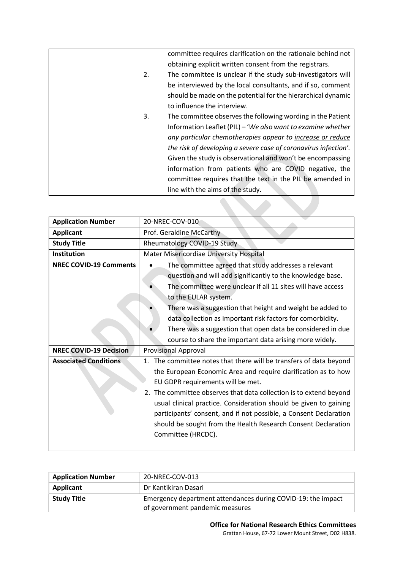|    | committee requires clarification on the rationale behind not      |
|----|-------------------------------------------------------------------|
|    | obtaining explicit written consent from the registrars.           |
| 2. | The committee is unclear if the study sub-investigators will      |
|    | be interviewed by the local consultants, and if so, comment       |
|    | should be made on the potential for the hierarchical dynamic      |
|    | to influence the interview.                                       |
| 3. | The committee observes the following wording in the Patient       |
|    | Information Leaflet (PIL) $-$ 'We also want to examine whether    |
|    | any particular chemotherapies appear to <i>increase</i> or reduce |
|    | the risk of developing a severe case of coronavirus infection'.   |
|    | Given the study is observational and won't be encompassing        |
|    | information from patients who are COVID negative, the             |
|    | committee requires that the text in the PIL be amended in         |
|    | line with the aims of the study.                                  |
|    |                                                                   |
|    |                                                                   |

| <b>Application Number</b>     | 20-NREC-COV-010                                                    |  |
|-------------------------------|--------------------------------------------------------------------|--|
| <b>Applicant</b>              | Prof. Geraldine McCarthy                                           |  |
| <b>Study Title</b>            | Rheumatology COVID-19 Study                                        |  |
| <b>Institution</b>            | Mater Misericordiae University Hospital                            |  |
| <b>NREC COVID-19 Comments</b> | The committee agreed that study addresses a relevant               |  |
|                               | question and will add significantly to the knowledge base.         |  |
|                               | The committee were unclear if all 11 sites will have access        |  |
|                               | to the EULAR system.                                               |  |
|                               | There was a suggestion that height and weight be added to          |  |
|                               | data collection as important risk factors for comorbidity.         |  |
|                               | There was a suggestion that open data be considered in due         |  |
|                               | course to share the important data arising more widely.            |  |
| <b>NREC COVID-19 Decision</b> | <b>Provisional Approval</b>                                        |  |
| <b>Associated Conditions</b>  | 1. The committee notes that there will be transfers of data beyond |  |
|                               | the European Economic Area and require clarification as to how     |  |
|                               | EU GDPR requirements will be met.                                  |  |
|                               | 2. The committee observes that data collection is to extend beyond |  |
|                               | usual clinical practice. Consideration should be given to gaining  |  |
|                               | participants' consent, and if not possible, a Consent Declaration  |  |
|                               | should be sought from the Health Research Consent Declaration      |  |
|                               | Committee (HRCDC).                                                 |  |
|                               |                                                                    |  |

| <b>Application Number</b> | 20-NREC-COV-013                                                                                 |
|---------------------------|-------------------------------------------------------------------------------------------------|
| Applicant                 | Dr Kantikiran Dasari                                                                            |
| <b>Study Title</b>        | Emergency department attendances during COVID-19: the impact<br>of government pandemic measures |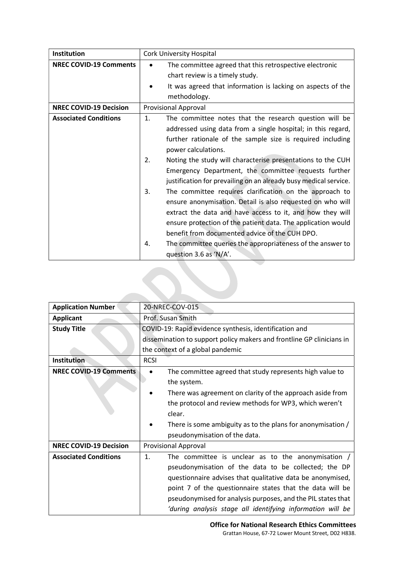| Institution                   | <b>Cork University Hospital</b>                                      |
|-------------------------------|----------------------------------------------------------------------|
| <b>NREC COVID-19 Comments</b> | The committee agreed that this retrospective electronic<br>$\bullet$ |
|                               | chart review is a timely study.                                      |
|                               | It was agreed that information is lacking on aspects of the          |
|                               | methodology.                                                         |
| <b>NREC COVID-19 Decision</b> | <b>Provisional Approval</b>                                          |
| <b>Associated Conditions</b>  | 1.<br>The committee notes that the research question will be         |
|                               | addressed using data from a single hospital; in this regard,         |
|                               | further rationale of the sample size is required including           |
|                               | power calculations.                                                  |
|                               | Noting the study will characterise presentations to the CUH<br>2.    |
|                               | Emergency Department, the committee requests further                 |
|                               | justification for prevailing on an already busy medical service.     |
|                               | The committee requires clarification on the approach to<br>3.        |
|                               | ensure anonymisation. Detail is also requested on who will           |
|                               | extract the data and have access to it, and how they will            |
|                               | ensure protection of the patient data. The application would         |
|                               | benefit from documented advice of the CUH DPO.                       |
|                               | The committee queries the appropriateness of the answer to<br>4.     |
|                               | question 3.6 as 'N/A'.                                               |

| <b>Application Number</b>     | 20-NREC-COV-015                                                       |
|-------------------------------|-----------------------------------------------------------------------|
| <b>Applicant</b>              | Prof. Susan Smith                                                     |
| <b>Study Title</b>            | COVID-19: Rapid evidence synthesis, identification and                |
|                               | dissemination to support policy makers and frontline GP clinicians in |
|                               | the context of a global pandemic                                      |
| Institution                   | <b>RCSI</b>                                                           |
| <b>NREC COVID-19 Comments</b> | The committee agreed that study represents high value to              |
|                               | the system.                                                           |
|                               | There was agreement on clarity of the approach aside from             |
|                               | the protocol and review methods for WP3, which weren't                |
|                               | clear.                                                                |
|                               | There is some ambiguity as to the plans for anonymisation /           |
|                               | pseudonymisation of the data.                                         |
| <b>NREC COVID-19 Decision</b> | <b>Provisional Approval</b>                                           |
| <b>Associated Conditions</b>  | 1.<br>The committee is unclear as to the anonymisation $/$            |
|                               | pseudonymisation of the data to be collected; the DP                  |
|                               | questionnaire advises that qualitative data be anonymised,            |
|                               | point 7 of the questionnaire states that the data will be             |
|                               | pseudonymised for analysis purposes, and the PIL states that          |
|                               | 'during analysis stage all identifying information will be            |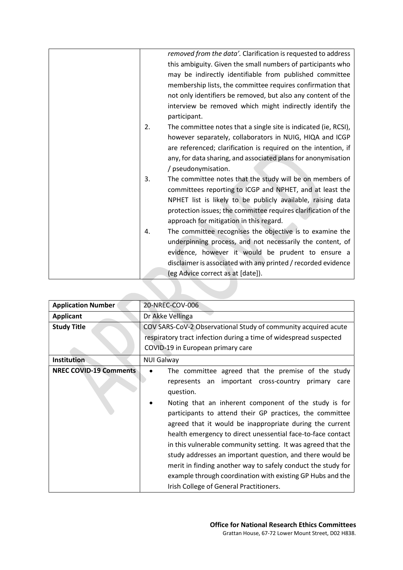|    | removed from the data'. Clarification is requested to address   |
|----|-----------------------------------------------------------------|
|    | this ambiguity. Given the small numbers of participants who     |
|    | may be indirectly identifiable from published committee         |
|    | membership lists, the committee requires confirmation that      |
|    | not only identifiers be removed, but also any content of the    |
|    | interview be removed which might indirectly identify the        |
|    | participant.                                                    |
| 2. | The committee notes that a single site is indicated (ie, RCSI), |
|    | however separately, collaborators in NUIG, HIQA and ICGP        |
|    | are referenced; clarification is required on the intention, if  |
|    | any, for data sharing, and associated plans for anonymisation   |
|    | / pseudonymisation.                                             |
| 3. | The committee notes that the study will be on members of        |
|    | committees reporting to ICGP and NPHET, and at least the        |
|    | NPHET list is likely to be publicly available, raising data     |
|    | protection issues; the committee requires clarification of the  |
|    | approach for mitigation in this regard.                         |
| 4. | The committee recognises the objective is to examine the        |
|    | underpinning process, and not necessarily the content, of       |
|    | evidence, however it would be prudent to ensure a               |
|    | disclaimer is associated with any printed / recorded evidence   |
|    | (eg Advice correct as at [date]).                               |
|    |                                                                 |
|    |                                                                 |

| <b>Application Number</b>     | 20-NREC-COV-006                                                                                                                                                                                                                                                                                                                                                                                                                                                                                                                                                                                                                                                                      |
|-------------------------------|--------------------------------------------------------------------------------------------------------------------------------------------------------------------------------------------------------------------------------------------------------------------------------------------------------------------------------------------------------------------------------------------------------------------------------------------------------------------------------------------------------------------------------------------------------------------------------------------------------------------------------------------------------------------------------------|
| <b>Applicant</b>              | Dr Akke Vellinga                                                                                                                                                                                                                                                                                                                                                                                                                                                                                                                                                                                                                                                                     |
| <b>Study Title</b>            | COV SARS-CoV-2 Observational Study of community acquired acute                                                                                                                                                                                                                                                                                                                                                                                                                                                                                                                                                                                                                       |
|                               | respiratory tract infection during a time of widespread suspected                                                                                                                                                                                                                                                                                                                                                                                                                                                                                                                                                                                                                    |
|                               | COVID-19 in European primary care                                                                                                                                                                                                                                                                                                                                                                                                                                                                                                                                                                                                                                                    |
| <b>Institution</b>            | <b>NUI Galway</b>                                                                                                                                                                                                                                                                                                                                                                                                                                                                                                                                                                                                                                                                    |
| <b>NREC COVID-19 Comments</b> | The committee agreed that the premise of the study<br>important cross-country<br>represents an<br>primary<br>care<br>question.<br>Noting that an inherent component of the study is for<br>participants to attend their GP practices, the committee<br>agreed that it would be inappropriate during the current<br>health emergency to direct unessential face-to-face contact<br>in this vulnerable community setting. It was agreed that the<br>study addresses an important question, and there would be<br>merit in finding another way to safely conduct the study for<br>example through coordination with existing GP Hubs and the<br>Irish College of General Practitioners. |